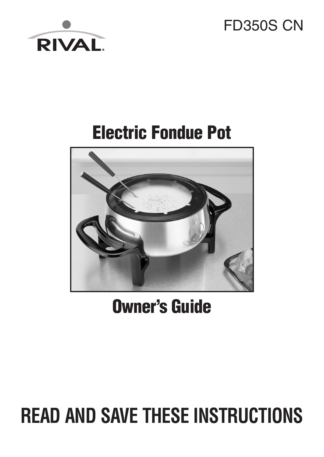# FD350S CN



# **Electric Fondue Pot**



**Owner's Guide**

# **READ AND SAVE THESE INSTRUCTIONS**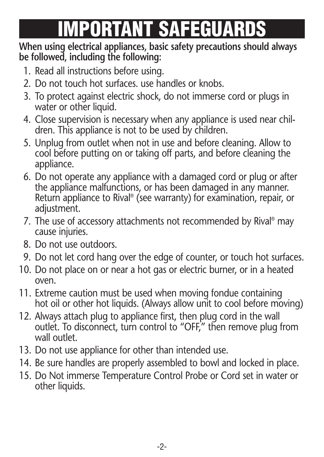# **MPORTANT SAFEGUA**

#### **When using electrical appliances, basic safety precautions should always be followed, including the following:**

- 1. Read all instructions before using.
- 2. Do not touch hot surfaces. use handles or knobs.
- 3. To protect against electric shock, do not immerse cord or plugs in water or other liquid.
- 4. Close supervision is necessary when any appliance is used near children. This appliance is not to be used by children.
- 5. Unplug from outlet when not in use and before cleaning. Allow to cool before putting on or taking off parts, and before cleaning the appliance.
- 6. Do not operate any appliance with a damaged cord or plug or after the appliance malfunctions, or has been damaged in any manner. Return appliance to Rival ® (see warranty) for examination, repair, or adjustment.
- 7. The use of accessory attachments not recommended by Rival ® may cause injuries.
- 8. Do not use outdoors.
- 9. Do not let cord hang over the edge of counter, or touch hot surfaces.
- 10. Do not place on or near a hot gas or electric burner, or in a heated oven.
- 11. Extreme caution must be used when moving fondue containing hot oil or other hot liquids. (Always allow unit to cool before moving)
- 12. Always attach plug to appliance first, then plug cord in the wall outlet. To disconnect, turn control to "OFF," then remove plug from wall outlet.
- 13. Do not use appliance for other than intended use.
- 14. Be sure handles are properly assembled to bowl and locked in place.
- 15. Do Not immerse Temperature Control Probe or Cord set in water or other liquids.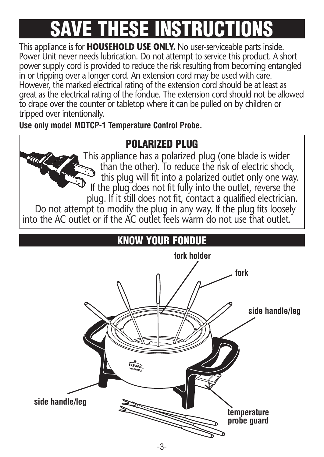# **SAVE THESE INSTRUCTIONS**

This appliance is for **HOUSEHOLD USE ONLY.** No user-serviceable parts inside. Power Unit never needs lubrication. Do not attempt to service this product. A short power supply cord is provided to reduce the risk resulting from becoming entangled in or tripping over a longer cord. An extension cord may be used with care. However, the marked electrical rating of the extension cord should be at least as great as the electrical rating of the fondue. The extension cord should not be allowed to drape over the counter or tabletop where it can be pulled on by children or tripped over intentionally.

**Use only model MDTCP-1 Temperature Control Probe.**

# **POLARIZED PLUG**



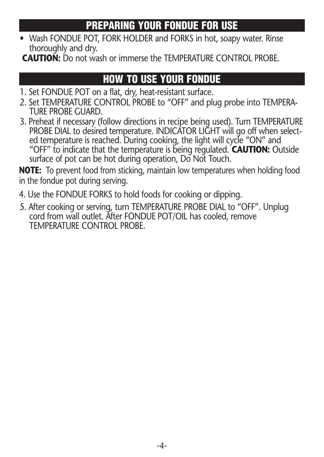### **PREPARING YOUR FONDUE FOR USE**

• Wash FONDUE POT, FORK HOLDER and FORKS in hot, soapy water. Rinse thoroughly and dry.

**CAUTION:** Do not wash or immerse the TEMPERATURE CONTROL PROBE.

## **HOW TO USE YOUR FONDUE**

- 1. Set FONDUE POT on a flat, dry, heat-resistant surface.
- 2. Set TEMPERATURE CONTROL PROBE to "OFF" and plug probe into TEMPERA- TURE PROBE GUARD.
- 3. Preheat if necessary (follow directions in recipe being used). Turn TEMPERATURE PROBE DIAL to desired temperature. INDICATOR LIGHT will go off when select ed temperature is reached. During cooking, the light will cycle "ON" and "OFF" to indicate that the temperature is being regulated. **CAUTION:** Outside surface of pot can be hot during operation. Do Not Touch.

**NOTE:** To prevent food from sticking, maintain low temperatures when holding food in the fondue pot during serving.

4. Use the FONDUE FORKS to hold foods for cooking or dipping.

5. After cooking or serving, turn TEMPERATURE PROBE DIAL to "OFF". Unplug cord from wall outlet. After FONDUE POT/OIL has cooled, remove TEMPERATURE CONTROL PROBE.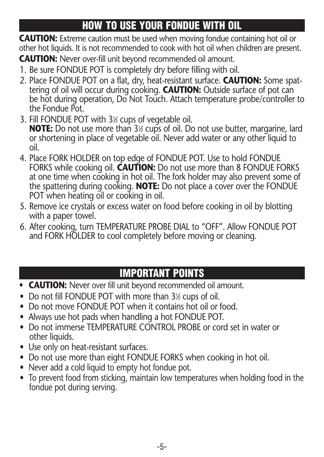# **HOW TO USE YOUR FONDUE WITH OIL**

**CAUTION:** Extreme caution must be used when moving fondue containing hot oil or other hot liquids. It is not recommended to cook with hot oil when children are present.

**CAUTION:** Never over-fill unit beyond recommended oil amount.

- 1. Be sure FONDUE POT is completely dry before filling with oil.
- 2. Place FONDUE POT on a flat, dry, heat-resistant surface. **CAUTION:** Some spat tering of oil will occur during cooking. **CAUTION:** Outside surface of pot can be hot during operation, Do Not Touch. Attach temperature probe/controller to the Fondue Pot.
- 3. Fill FONDUE POT with 31 ⁄2 cups of vegetable oil. **NOTE:** Do not use more than 3½ cups of oil. Do not use butter, margarine, lard or shortening in place of vegetable oil. Never add water or any other liquid to oil.
- 4. Place FORK HOLDER on top edge of FONDUE POT. Use to hold FONDUE FORKS while cooking oil. **CAUTION:** Do not use more than 8 FONDUE FORKS at one time when cooking in hot oil. The fork holder may also prevent some of the spattering during cooking. **NOTE:** Do not place a cover over the FONDUE POT when heating oil or cooking in oil.
- 5. Remove ice crystals or excess water on food before cooking in oil by blotting with a paper towel.
- 6. After cooking, turn TEMPERATURE PROBE DIAL to "OFF". Allow FONDUE POT and FORK HOLDER to cool completely before moving or cleaning.

# **IMPORTANT POINTS**

- **• CAUTION:** Never over fill unit beyond recommended oil amount.
- Do not fill FONDUE POT with more than 3½ cups of oil.
- Do not move FONDUE POT when it contains hot oil or food.
- Always use hot pads when handling a hot FONDUE POT.
- Do not immerse TEMPERATURE CONTROL PROBE or cord set in water or other liquids.
- Use only on heat-resistant surfaces.
- Do not use more than eight FONDUE FORKS when cooking in hot oil.
- Never add a cold liquid to empty hot fondue pot.
- To prevent food from sticking, maintain low temperatures when holding food in the fondue pot during serving.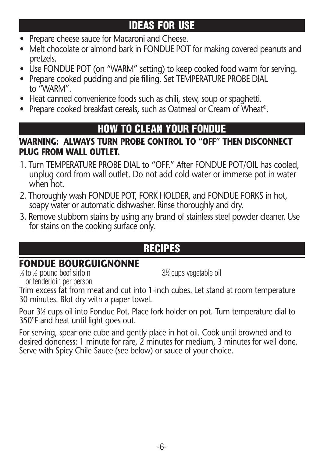## **IDEAS FOR USE**

- Prepare cheese sauce for Macaroni and Cheese.
- Melt chocolate or almond bark in FONDUE POT for making covered peanuts and pretzels.
- Use FONDUE POT (on "WARM" setting) to keep cooked food warm for serving.
- Prepare cooked pudding and pie filling. Set TEMPERATURE PROBE DIAL to "WARM".
- Heat canned convenience foods such as chili, stew, soup or spaghetti.
- Prepare cooked breakfast cereals, such as Oatmeal or Cream of Wheat ®.

#### **HOW TO CLEAN YOUR FONDUE**

#### **WARNING: ALWAYS TURN PROBE CONTROL TO "OFF" THEN DISCONNECT PLUG FROM WALL OUTLET.**

- 1. Turn TEMPERATURE PROBE DIAL to "OFF." After FONDUE POT/OIL has cooled, unplug cord from wall outlet. Do not add cold water or immerse pot in water when hot.
- 2. Thoroughly wash FONDUE POT, FORK HOLDER, and FONDUE FORKS in hot, soapy water or automatic dishwasher. Rinse thoroughly and dry.
- 3. Remove stubborn stains by using any brand of stainless steel powder cleaner. Use for stains on the cooking surface only.

## **RECIPES**

#### **FONDUE BOURGUIGNONNE**

⁄2 cups vegetable oil

 $\frac{1}{2}$  to  $\frac{1}{2}$  pound beef sirloin  $\frac{31}{2}$ or tenderloin per person

Trim excess fat from meat and cut into 1-inch cubes. Let stand at room temperature 30 minutes. Blot dry with a paper towel.

Pour 3½ cups oil into Fondue Pot. Place fork holder on pot. Turn temperature dial to 350°F and heat until light goes out.

For serving, spear one cube and gently place in hot oil. Cook until browned and to desired doneness: 1 minute for rare, 2 minutes for medium, 3 minutes for well done. Serve with Spicy Chile Sauce (see below) or sauce of your choice.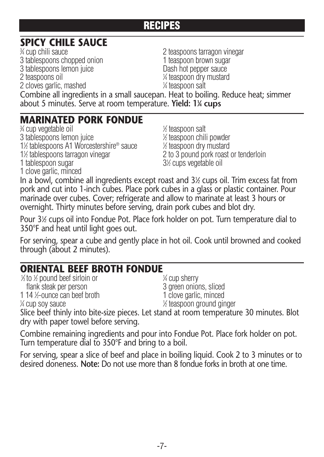# **SPICY CHILE SAUCE**<br><sup>3</sup>4 cup chili sauce

3 tablespoons chopped onion 1 teaspoon brown sugar 3 tablespoons lemon juice Dash hot pepper sauce 2 teaspoons oil <sup>1</sup> 2 cloves garlic, mashed <sup>1</sup>

2 teaspoons tarragon vinegar ⁄4 teaspoon dry mustard ⁄4 teaspoon salt

Combine all ingredients in a small saucepan. Heat to boiling. Reduce heat; simmer about 5 minutes. Serve at room temperature. **Yield: 11 ⁄4 cups**

#### **MARINATED PORK FONDUE** <sup>3</sup>

⁄4 cup vegetable oil <sup>1</sup> 3 tablespoons lemon juice <sup>1</sup> 1<sup>/2</sup> tablespoons A1 Worcestershire<sup>®</sup> sauce 1½ tablespoons tarragon vinegar 1 tablespoon sugar 1 clove garlic, minced

⁄2 teaspoon salt ⁄2 teaspoon chili powder ⁄2 teaspoon dry mustard 2 to 3 pound pork roast or tenderloin ⁄2 cups vegetable oil

In a bowl, combine all ingredients except roast and 31 ⁄2 cups oil. Trim excess fat from pork and cut into 1-inch cubes. Place pork cubes in a glass or plastic container. Pour marinade over cubes. Cover; refrigerate and allow to marinate at least 3 hours or overnight. Thirty minutes before serving, drain pork cubes and blot dry.

Pour 3½ cups oil into Fondue Pot. Place fork holder on pot. Turn temperature dial to 350°F and heat until light goes out.

For serving, spear a cube and gently place in hot oil. Cook until browned and cooked through (about 2 minutes).

#### **ORIENTAL BEEF BROTH FONDUE**

| % to % pound beef sirloin or                 | $\frac{1}{4}$ cup sherry   |
|----------------------------------------------|----------------------------|
| flank steak per person                       | 3 green onions, sliced     |
| 1 14 ½-ounce can beef broth                  | 1 clove garlic, minced     |
| ¼ cup soy sauce                              | 1/2 teaspoon ground ginger |
| en i franceska marsko komponenta i stori i s |                            |

Slice beef thinly into bite-size pieces. Let stand at room temperature 30 minutes. Blot dry with paper towel before serving.

Combine remaining ingredients and pour into Fondue Pot. Place fork holder on pot. Turn temperature dial to 350°F and bring to a boil.

For serving, spear a slice of beef and place in boiling liquid. Cook 2 to 3 minutes or to desired doneness. **Note:** Do not use more than 8 fondue forks in broth at one time.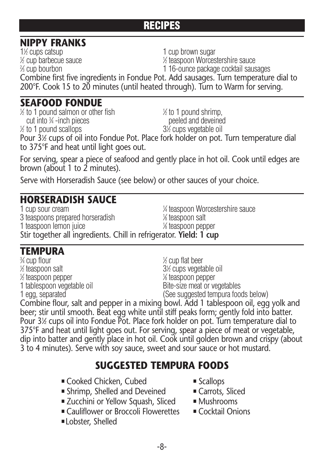#### **NIPPY FRANKS**

1<sup>1</sup>/<sub>2</sub> cups catsup 1 ⁄2 cup barbecue sauce <sup>1</sup> % cup bourbon

1 cup brown sugar

⁄2 teaspoon Worcestershire sauce

1 16-ounce package cocktail sausages

Combine first five ingredients in Fondue Pot. Add sausages. Turn temperature dial to 200°F. Cook 15 to 20 minutes (until heated through). Turn to Warm for serving.

#### **SEAFOOD FONDUE**

 $1/2$  to 1 pound salmon or other fish

cut into 34 -inch pieces

 $\frac{1}{2}$  to 1 pound scallops  $\frac{31}{2}$ 

 $\frac{1}{2}$  to 1 pound shrimp. peeled and deveined ⁄2 cups vegetable oil

Pour 3½ cups of oil into Fondue Pot. Place fork holder on pot. Turn temperature dial to 375°F and heat until light goes out.

For serving, spear a piece of seafood and gently place in hot oil. Cook until edges are brown (about 1 to 2 minutes).

Serve with Horseradish Sauce (see below) or other sauces of your choice.

## **HORSERADISH SAUCE**

1 cup sour cream <sup>1</sup> ⁄4 teaspoon Worcestershire sauce 3 teaspoons prepared horseradish <sup>1</sup> ⁄8 teaspoon salt 1 teaspoon lemon juice ⁄8 teaspoon pepper Stir together all ingredients. Chill in refrigerator. **Yield: 1 cup**

### **TEMPURA**

⁄4 cup flour <sup>1</sup>  $\frac{1}{2}$  teaspoon salt  $\frac{3}{2}$ 1 ⁄2 teaspoon pepper <sup>1</sup>

⁄2 cup flat beer ⁄2 cups vegetable oil ⁄8 teaspoon pepper 1 tablespoon vegetable oil and Bite-size meat or vegetables 1 egg, separated (See suggested tempura foods below)

Combine flour, salt and pepper in a mixing bowl. Add 1 tablespoon oil, egg yolk and beer; stir until smooth. Beat egg white until stiff peaks form; gently fold into batter. Pour 3½ cups oil into Fondue Pot. Place fork holder on pot. Turn temperature dial to 375°F and heat until light goes out. For serving, spear a piece of meat or vegetable, dip into batter and gently place in hot oil. Cook until golden brown and crispy (about 3 to 4 minutes). Serve with soy sauce, sweet and sour sauce or hot mustard.

#### **SUGGESTED TEMPURA FOODS**

- Cooked Chicken, Cubed -
- Shrimp, Shelled and Deveined - ■
- Zucchini or Yellow Squash, Sliced → ■
- Cauliflower or Broccoli Flowerettes ■
- ■Lobster, Shelled
- Scallops
- Carrots, Sliced
- **Mushrooms**
- Cocktail Onions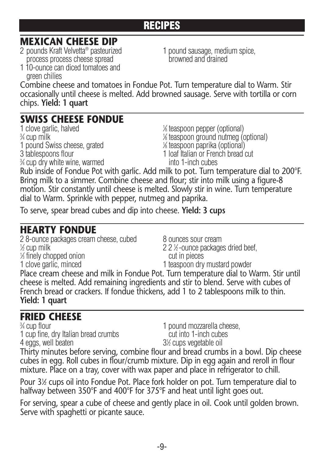#### **MEXICAN CHEESE DIP**

2 pounds Kraft Velvetta<sup>®</sup> pasteurized process process cheese spread browned and drained

1 pound sausage, medium spice,

1 10-ounce can diced tomatoes and green chilies Combine cheese and tomatoes in Fondue Pot. Turn temperature dial to Warm. Stir occasionally until cheese is melted. Add browned sausage. Serve with tortilla or corn

chips. **Yield: 1 quart**

#### **SWISS CHEESE FONDUE**

1 clove garlic, halved  $\frac{3}{4}$  cup milk  $\frac{1}{4}$ 1 pound Swiss cheese, grated <sup>3</sup>⁄4 cup dry white wine, warmed into 1-inch cubes

⁄8 teaspoon pepper (optional) ⁄8 teaspoon ground nutmeg (optional) ⁄8 teaspoon paprika (optional) 3 tablespoons flour 1 loaf Italian or French bread cut

Rub inside of Fondue Pot with garlic. Add milk to pot. Turn temperature dial to 200°F. Bring milk to a simmer. Combine cheese and flour; stir into milk using a figure-8 motion. Stir constantly until cheese is melted. Slowly stir in wine. Turn temperature dial to Warm. Sprinkle with pepper, nutmeg and paprika.

To serve, spear bread cubes and dip into cheese. **Yield: 3 cups**

#### **HEARTY FONDUE**

2 8-ounce packages cream cheese, cubed  $\qquad \qquad 8$  ounces sour cream  $\frac{1}{2}$  cup milk 22 1 1 ⁄3 finely chopped onion cut in pieces

22<sup>⁄2</sup>-ounce packages dried beef,

1 clove garlic, minced 1 teaspoon dry mustard powder

Place cream cheese and milk in Fondue Pot. Turn temperature dial to Warm. Stir until cheese is melted. Add remaining ingredients and stir to blend. Serve with cubes of French bread or crackers. If fondue thickens, add 1 to 2 tablespoons milk to thin. **Yield: 1 quart**

# **FRIED CHEESE**<br>*<b>X* cup flour

1 cup fine, dry Italian bread crumbs cut into 1-inch cubes 4 eggs, well beaten

1 pound mozzarella cheese. ⁄2 cups vegetable oil

Thirty minutes before serving, combine flour and bread crumbs in a bowl. Dip cheese cubes in egg. Roll cubes in flour/crumb mixture. Dip in egg again and reroll in flour mixture. Place on a tray, cover with wax paper and place in refrigerator to chill.

Pour 3½ cups oil into Fondue Pot. Place fork holder on pot. Turn temperature dial to halfway between 350°F and 400°F for 375°F and heat until light goes out.

For serving, spear a cube of cheese and gently place in oil. Cook until golden brown. Serve with spaghetti or picante sauce.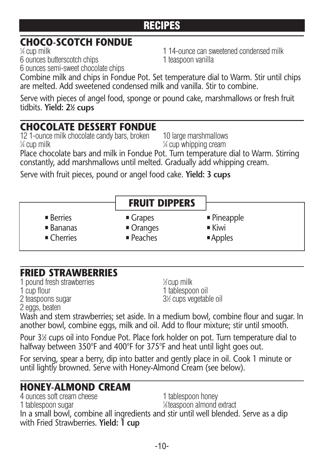# **CHOCO-SCOTCH FONDUE** <sup>1</sup>

1 14-ounce can sweetened condensed milk 6 ounces butterscotch chips 1 teaspoon vanilla

6 ounces semi-sweet chocolate chips

Combine milk and chips in Fondue Pot. Set temperature dial to Warm. Stir until chips are melted. Add sweetened condensed milk and vanilla. Stir to combine.

Serve with pieces of angel food, sponge or pound cake, marshmallows or fresh fruit tidbits. **Yield: 21 ⁄2 cups**

#### **CHOCOLATE DESSERT FONDUE**

12 1-ounce milk chocolate candy bars, broken 10 large marshmallows  $\frac{1}{4}$  cup milk 1

⁄4 cup whipping cream

Place chocolate bars and milk in Fondue Pot. Turn temperature dial to Warm. Stirring constantly, add marshmallows until melted. Gradually add whipping cream.

Serve with fruit pieces, pound or angel food cake. **Yield: 3 cups**

#### **FRUIT DIPPERS**

 $\blacksquare$  Berries  $\blacksquare$  Bananas  $\blacksquare$  Cherries

- $\blacksquare$  Grapes ■ Oranges ■ Peaches
- $\blacksquare$  Pineapple
- $\blacksquare$  Kiwi
- $\blacksquare$  Apples

# **FRIED STRAWBERRIES**

1 pound fresh strawberries <sup>1</sup> 1 cup flour 1 tablespoon oil 2 teaspoons sugar

⁄2 cup milk ⁄2 cups vegetable oil

2 eggs, beaten Wash and stem strawberries; set aside. In a medium bowl, combine flour and sugar. In another bowl, combine eggs, milk and oil. Add to flour mixture; stir until smooth.

Pour 3½ cups oil into Fondue Pot. Place fork holder on pot. Turn temperature dial to halfway between 350°F and 400°F for 375°F and heat until light goes out.

For serving, spear a berry, dip into batter and gently place in oil. Cook 1 minute or until lightly browned. Serve with Honey-Almond Cream (see below).

#### **HONEY-ALMOND CREAM**

4 ounces soft cream cheese 1 tablespoon honey 1 tablespoon sugar ⁄8 teaspoon almond extract In a small bowl, combine all ingredients and stir until well blended. Serve as a dip with Fried Strawberries. **Yield: 1 cup**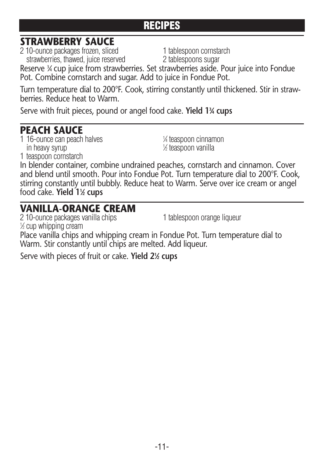#### **STRAWBERRY SAUCE**

2 10-ounce packages frozen, sliced 1 tablespoon cornstarch strawberries, thawed, juice reserved 2 tablespoons sugar

Reserve 3⁄4 cup juice from strawberries. Set strawberries aside. Pour juice into Fondue Pot. Combine cornstarch and sugar. Add to juice in Fondue Pot.

Turn temperature dial to 200°F. Cook, stirring constantly until thickened. Stir in strawberries. Reduce heat to Warm.

Serve with fruit pieces, pound or angel food cake. **Yield 13 ⁄4 cups**

#### **PEACH SAUCE**

1 teaspoon cornstarch

1 16-ounce can peach halves in heavy syrup

⁄2 teaspoon vanilla

⁄4 teaspoon cinnamon

In blender container, combine undrained peaches, cornstarch and cinnamon. Cover and blend until smooth. Pour into Fondue Pot. Turn temperature dial to 200°F. Cook, stirring constantly until bubbly. Reduce heat to Warm. Serve over ice cream or angel food cake. **Yield 11 ⁄2 cups**

#### **VANILLA-ORANGE CREAM**

2 10-ounce packages vanilla chips 1 tablespoon orange liqueur

1 ⁄2 cup whipping cream

Place vanilla chips and whipping cream in Fondue Pot. Turn temperature dial to Warm. Stir constantly until chips are melted. Add liqueur.

Serve with pieces of fruit or cake. **Yield 21 ⁄2 cups**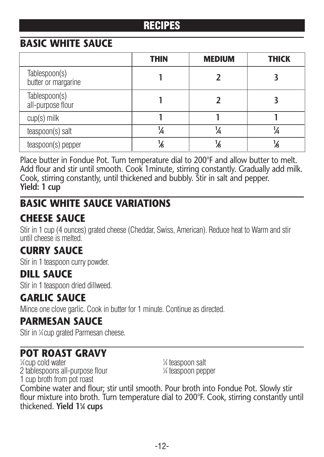#### **BASIC WHITE SAUCE**

|                                      | <b>THIN</b> | <b>MEDIUM</b> | <b>THICK</b> |
|--------------------------------------|-------------|---------------|--------------|
| Tablespoon(s)<br>butter or margarine |             |               |              |
| Tablespoon(s)<br>all-purpose flour   |             |               |              |
| $cup(s)$ milk                        |             |               |              |
| teaspoon(s) salt                     | ¼           | 1⁄4           |              |
| teaspoon(s) pepper                   |             | /s            | 76           |

Place butter in Fondue Pot. Turn temperature dial to 200°F and allow butter to melt. Add flour and stir until smooth. Cook 1minute, stirring constantly. Gradually add milk. Cook, stirring constantly, until thickened and bubbly. Stir in salt and pepper. **Yield: 1 cup**

#### **BASIC WHITE SAUCE VARIATIONS**

#### **CHEESE SAUCE**

Stir in 1 cup (4 ounces) grated cheese (Cheddar, Swiss, American). Reduce heat to Warm and stir until cheese is melted.

#### **CURRY SAUCE**

Stir in 1 teaspoon curry powder.

#### **DILL SAUCE**

Stir in 1 teaspoon dried dillweed.

#### **GARLIC SAUCE**

Mince one clove garlic. Cook in butter for 1 minute. Continue as directed.

#### **PARMESAN SAUCE**

Stir in ¼ cup grated Parmesan cheese.

#### **POT ROAST GRAVY**

⁄4 cup cold water <sup>1</sup> 2 tablespoons all-purpose flour <sup>1</sup> 1 cup broth from pot roast

⁄4 teaspoon salt ⁄4 teaspoon pepper

Combine water and flour; stir until smooth. Pour broth into Fondue Pot. Slowly stir flour mixture into broth. Turn temperature dial to 200°F. Cook, stirring constantly until thickened. **Yield 11 ⁄4 cups**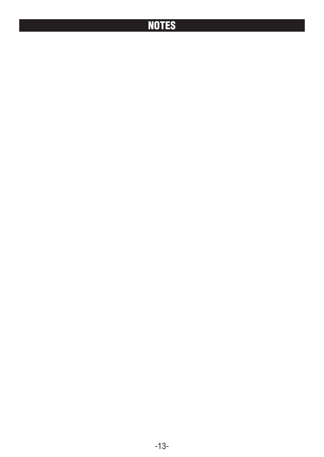## **NOTES**